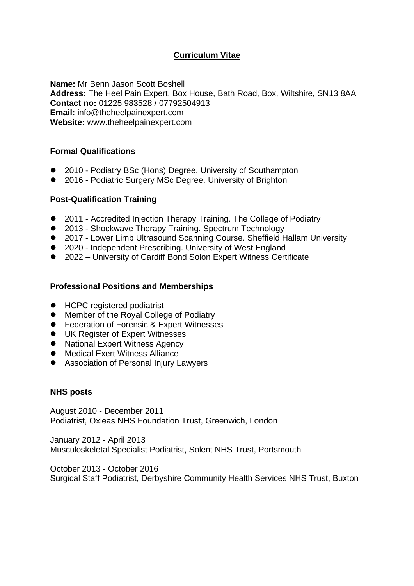# **Curriculum Vitae**

**Name:** Mr Benn Jason Scott Boshell **Address:** The Heel Pain Expert, Box House, Bath Road, Box, Wiltshire, SN13 8AA **Contact no:** 01225 983528 / 07792504913 **Email:** info@theheelpainexpert.com **Website:** www.theheelpainexpert.com

## **Formal Qualifications**

- 2010 Podiatry BSc (Hons) Degree. University of Southampton
- 2016 Podiatric Surgery MSc Degree. University of Brighton

## **Post-Qualification Training**

- 2011 Accredited Injection Therapy Training. The College of Podiatry
- 2013 Shockwave Therapy Training. Spectrum Technology
- 2017 Lower Limb Ultrasound Scanning Course. Sheffield Hallam University
- 2020 Independent Prescribing. University of West England
- 2022 University of Cardiff Bond Solon Expert Witness Certificate

## **Professional Positions and Memberships**

- HCPC registered podiatrist
- Member of the Royal College of Podiatry
- Federation of Forensic & Expert Witnesses
- UK Register of Expert Witnesses
- ⚫ National Expert Witness Agency
- Medical Exert Witness Alliance
- Association of Personal Injury Lawyers

#### **NHS posts**

August 2010 - December 2011 Podiatrist, Oxleas NHS Foundation Trust, Greenwich, London

January 2012 - April 2013 Musculoskeletal Specialist Podiatrist, Solent NHS Trust, Portsmouth

October 2013 - October 2016 Surgical Staff Podiatrist, Derbyshire Community Health Services NHS Trust, Buxton